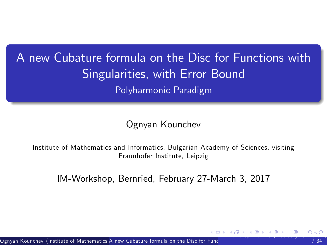### A new Cubature formula on the Disc for Functions with Singularities, with Error Bound Polyharmonic Paradigm

<span id="page-0-0"></span>Ognyan Kounchev

Institute of Mathematics and Informatics, Bulgarian Academy of Sciences, visiting Fraunhofer Institute, Leipzig

IM-Workshop, Bernried, February 27-March 3, 2017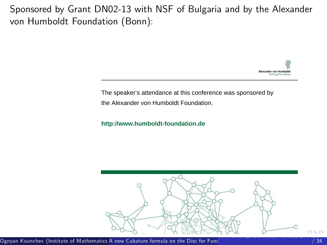Sponsored by Grant DN02-13 with NSF of Bulgaria and by the Alexander von Humboldt Foundation (Bonn):

<span id="page-1-0"></span>

The speaker's attendance at this conference was sponsored by the Alexander von Humboldt Foundation.

**http://www.humboldt-foundation.de**

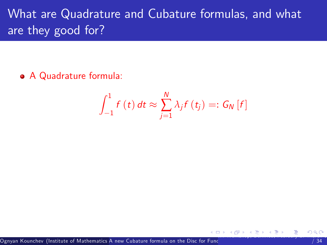## What are Quadrature and Cubature formulas, and what are they good for?

A Quadrature formula:

<span id="page-2-0"></span>
$$
\int_{-1}^{1} f(t) dt \approx \sum_{j=1}^{N} \lambda_j f(t_j) =: G_N[f]
$$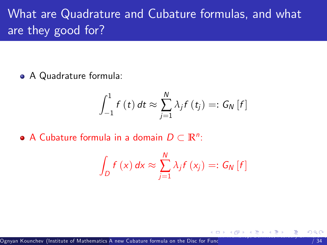## What are Quadrature and Cubature formulas, and what are they good for?

A Quadrature formula:

$$
\int_{-1}^{1} f(t) dt \approx \sum_{j=1}^{N} \lambda_j f(t_j) =: G_N[f]
$$

A Cubature formula in a domain  $D \subset \mathbb{R}^n$ :

<span id="page-3-0"></span>
$$
\int_{D} f(x) dx \approx \sum_{j=1}^{N} \lambda_{j} f(x_{j}) =: G_{N}[f]
$$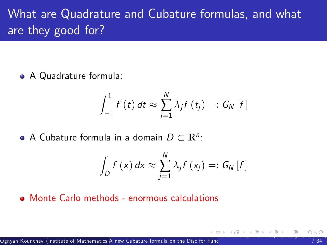## What are Quadrature and Cubature formulas, and what are they good for?

A Quadrature formula:

$$
\int_{-1}^{1} f(t) dt \approx \sum_{j=1}^{N} \lambda_j f(t_j) =: G_N[f]
$$

A Cubature formula in a domain  $D \subset \mathbb{R}^n$ :

<span id="page-4-0"></span>
$$
\int_{D} f(x) dx \approx \sum_{j=1}^{N} \lambda_{j} f(x_{j}) =: G_{N}[f]
$$

Monte Carlo methods - enormous calculations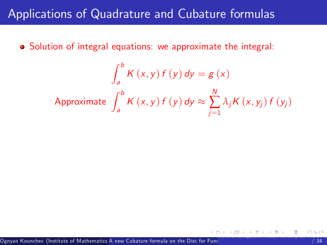<span id="page-5-0"></span>
$$
\int_{a}^{b} K(x, y) f(y) dy = g(x)
$$
  
Approximate 
$$
\int_{a}^{b} K(x, y) f(y) dy \approx \sum_{j=1}^{N} \lambda_{j} K(x, y_{j}) f(y_{j})
$$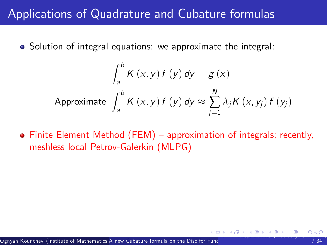• Solution of integral equations: we approximate the integral:

$$
\int_{a}^{b} K(x, y) f(y) dy = g(x)
$$
  
Approximate 
$$
\int_{a}^{b} K(x, y) f(y) dy \approx \sum_{j=1}^{N} \lambda_{j} K(x, y_{j}) f(y_{j})
$$

<span id="page-6-0"></span>• Finite Element Method (FEM) – approximation of integrals; recently, meshless local Petrov-Galerkin (MLPG)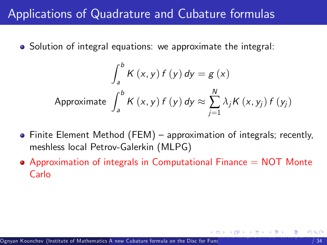$$
\int_{a}^{b} K(x, y) f(y) dy = g(x)
$$
  
Approximate 
$$
\int_{a}^{b} K(x, y) f(y) dy \approx \sum_{j=1}^{N} \lambda_{j} K(x, y_{j}) f(y_{j})
$$

- $\bullet$  Finite Element Method (FEM) approximation of integrals; recently, meshless local Petrov-Galerkin (MLPG)
- <span id="page-7-0"></span> $\bullet$  Approximation of integrals in Computational Finance  $=$  NOT Monte Carlo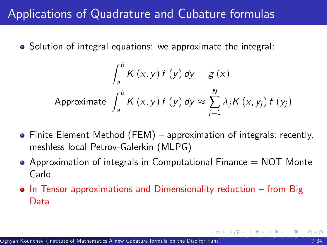$$
\int_{a}^{b} K(x, y) f(y) dy = g(x)
$$
  
Approximate 
$$
\int_{a}^{b} K(x, y) f(y) dy \approx \sum_{j=1}^{N} \lambda_{j} K(x, y_{j}) f(y_{j})
$$

- $\bullet$  Finite Element Method (FEM) approximation of integrals; recently, meshless local Petrov-Galerkin (MLPG)
- $\bullet$  Approximation of integrals in Computational Finance  $=$  NOT Monte Carlo
- <span id="page-8-0"></span> $\bullet$  In Tensor approximations and Dimensionality reduction  $\overline{\phantom{a}}$  from Big Data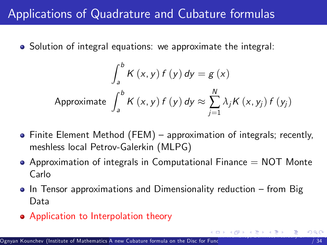$$
\int_{a}^{b} K(x, y) f(y) dy = g(x)
$$
  
Approximate 
$$
\int_{a}^{b} K(x, y) f(y) dy \approx \sum_{j=1}^{N} \lambda_{j} K(x, y_{j}) f(y_{j})
$$

- $\bullet$  Finite Element Method (FEM) approximation of integrals; recently, meshless local Petrov-Galerkin (MLPG)
- $\bullet$  Approximation of integrals in Computational Finance  $=$  NOT Monte Carlo
- $\bullet$  In Tensor approximations and Dimensionality reduction  $-$  from Big Data
- <span id="page-9-0"></span>• Application to Interpolation theory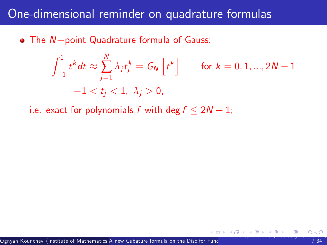### One-dimensional reminder on quadrature formulas

 $\bullet$  The  $N$ -point Quadrature formula of Gauss:

$$
\int_{-1}^{1} t^{k} dt \approx \sum_{j=1}^{N} \lambda_{j} t_{j}^{k} = G_{N} \left[ t^{k} \right] \quad \text{for } k = 0, 1, ..., 2N - 1
$$

$$
-1 < t_{j} < 1, \ \lambda_{j} > 0,
$$

<span id="page-10-0"></span>i.e. exact for polynomials f with deg  $f \leq 2N - 1$ ;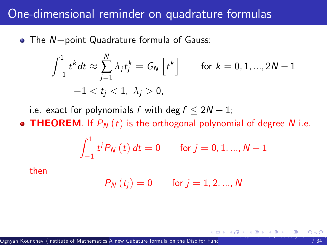#### One-dimensional reminder on quadrature formulas

 $\bullet$  The N-point Quadrature formula of Gauss:

$$
\int_{-1}^1 t^k dt \approx \sum_{j=1}^N \lambda_j t_j^k = G_N \left[ t^k \right] \qquad \text{for } k = 0, 1, ..., 2N - 1
$$

$$
-1 < t_j < 1, \ \lambda_j > 0,
$$

i.e. exact for polynomials f with deg  $f \leq 2N - 1$ ;

• THEOREM. If  $P_N(t)$  is the orthogonal polynomial of degree N i.e.

$$
\int_{-1}^{1} t^{j} P_{N}(t) dt = 0 \quad \text{for } j = 0, 1, ..., N - 1
$$

then

<span id="page-11-0"></span>
$$
P_N(t_j) = 0 \qquad \text{for } j = 1, 2, ..., N
$$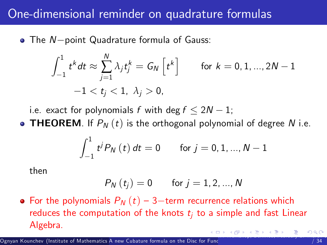### One-dimensional reminder on quadrature formulas

 $\bullet$  The N-point Quadrature formula of Gauss:

$$
\int_{-1}^1 t^k dt \approx \sum_{j=1}^N \lambda_j t_j^k = G_N \left[ t^k \right] \qquad \text{for } k = 0, 1, ..., 2N - 1
$$

$$
-1 < t_j < 1, \ \lambda_j > 0,
$$

i.e. exact for polynomials f with deg  $f \leq 2N - 1$ ;

• THEOREM. If  $P_N(t)$  is the orthogonal polynomial of degree N i.e.

$$
\int_{-1}^{1} t^{j} P_{N}(t) dt = 0 \quad \text{for } j = 0, 1, ..., N - 1
$$

then

<span id="page-12-0"></span>
$$
P_{N}\left(t_{j}\right)=0\qquad \text{for }j=1,2,...,N
$$

• For the polynomials  $P_N(t)$  – 3-term recurrence relations which reduces the computation of the knots  $t_i$  to a simple and fast Linear Algebra.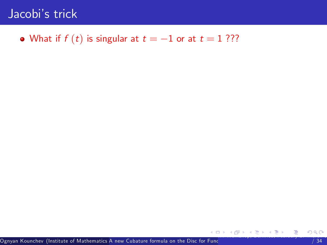#### • What if  $f(t)$  is singular at  $t = -1$  or at  $t = 1$  ???

<span id="page-13-0"></span>Ognyan Kounchev (Institute of Mathematics <mark>A new Cubature formula on the Disc for Fun</mark>c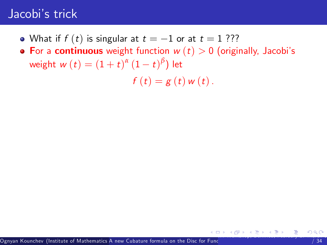- What if  $f(t)$  is singular at  $t = -1$  or at  $t = 1$  ???
- For a continuous weight function  $w(t) > 0$  (originally, Jacobi's weight  $w(t) = (1+t)^{\alpha} (1-t)^{\beta}$ ) let

<span id="page-14-0"></span> $f(t) = g(t) w(t)$ .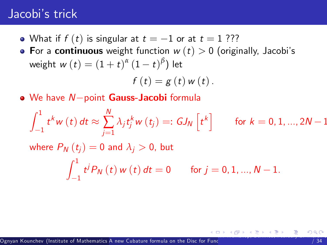- What if  $f(t)$  is singular at  $t = -1$  or at  $t = 1$  ???
- For a continuous weight function  $w(t) > 0$  (originally, Jacobi's weight  $w(t) = (1+t)^{\alpha} (1-t)^{\beta}$ ) let

<span id="page-15-0"></span>
$$
f(t)=g(t) w(t).
$$

 $\bullet$  We have  $N$ -point Gauss-Jacobi formula

$$
\int_{-1}^{1} t^{k} w(t) dt \approx \sum_{j=1}^{N} \lambda_{j} t_{j}^{k} w(t_{j}) =: GJ_{N} \left[ t^{k} \right] \quad \text{for } k = 0, 1, ..., 2N - 1
$$
  
where  $P_{N}(t_{j}) = 0$  and  $\lambda_{j} > 0$ , but  

$$
\int_{-1}^{1} t^{j} P_{N}(t) w(t) dt = 0 \quad \text{for } j = 0, 1, ..., N - 1.
$$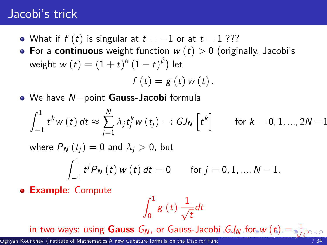- What if  $f(t)$  is singular at  $t = -1$  or at  $t = 1$  ???
- For a continuous weight function  $w(t) > 0$  (originally, Jacobi's weight  $w(t) = (1+t)^{\alpha} (1-t)^{\beta}$ ) let  $f(t) = g(t) w(t)$ .
- $\bullet$  We have  $N$ -point Gauss-Jacobi formula

$$
\int_{-1}^{1} t^{k} w(t) dt \approx \sum_{j=1}^{N} \lambda_{j} t_{j}^{k} w(t_{j}) =: GJ_{N}\left[t^{k}\right] \quad \text{for } k = 0, 1, ..., 2N-1
$$

where  $P_N(t_i) = 0$  and  $\lambda_i > 0$ , but

$$
\int_{-1}^{1} t^{j} P_{N}(t) w(t) dt = 0 \quad \text{for } j = 0, 1, ..., N-1.
$$

**e Example: Compute** 

<span id="page-16-0"></span>
$$
\int_0^1 g\left(t\right)\frac{1}{\sqrt{t}}dt
$$

in t[w](#page-73-0)o ways: using  ${\sf Gauss}\,\,G_N,$  ${\sf Gauss}\,\,G_N,$  ${\sf Gauss}\,\,G_N,$  ${\sf Gauss}\,\,G_N,$  ${\sf Gauss}\,\,G_N,$  o[r](#page-1-0)  ${\sf Gauss\,-Jacobi}$  ${\sf Gauss\,-Jacobi}$  ${\sf Gauss\,-Jacobi}$  ,  $G\!J_N$  $G\!J_N$  $G\!J_N$  , [fo](#page-0-0)r  $w\,(t) = \frac{1}{\epsilon / 2}$  $w\,(t) = \frac{1}{\epsilon / 2}$  $w\,(t) = \frac{1}{\epsilon / 2}$  $w\,(t) = \frac{1}{\epsilon / 2}$  $w\,(t) = \frac{1}{\epsilon / 2}$  $w\,(t) = \frac{1}{\epsilon / 2}$  $w\,(t) = \frac{1}{\epsilon / 2}$  $w\,(t) = \frac{1}{\epsilon / 2}$  $w\,(t) = \frac{1}{\epsilon / 2}$  $\mathcal{A}_j$  ,  $G$  ,  $f$  or  $\mathcal{A}_k$  ,  $\mathcal{A}_k$  ,  $\mathcal{A}_k$  ,  $\mathcal{A}_k$  ,  $\mathcal{A}_k$  ,  $\mathcal{A}_k$  ,  $\mathcal{A}_k$  ,  $\mathcal{A}_k$  ,  $\mathcal{A}_k$  ,  $\mathcal{A}_k$  ,  $\mathcal{A}_k$  ,  $\mathcal{A}_k$  ,  $\mathcal{A}_k$  ,  $\mathcal{A}_k$  ,  $\mathcal{A}_k$  ,  $\mathcal{A}_k$  ,  $\mathcal$ 

 $\,$  Ognyan Kounchev (Institute of Mathematics A new Cubature formula on the Disc for Func $\,$  .  $\,$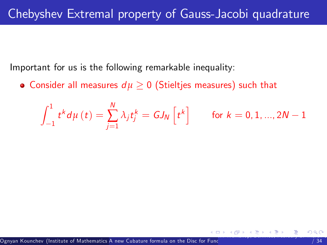Important for us is the following remarkable inequality:

• Consider all measures  $d\mu \geq 0$  (Stieltjes measures) such that

<span id="page-17-0"></span>
$$
\int_{-1}^{1}t^{k}d\mu\left(t\right)=\sum_{j=1}^{N}\lambda_{j}t_{j}^{k}=GJ_{\mathsf{N}}\left[t^{k}\right]\qquad\text{for }k=0,1,...,2N-1
$$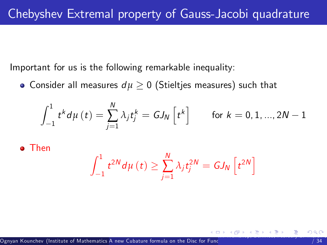Important for us is the following remarkable inequality:

• Consider all measures  $d\mu \geq 0$  (Stieltjes measures) such that

$$
\int_{-1}^{1} t^{k} d\mu\left(t\right) = \sum_{j=1}^{N} \lambda_{j} t_{j}^{k} = GJ_{N}\left[t^{k}\right] \qquad \text{for } k = 0, 1, ..., 2N-1
$$

Then

<span id="page-18-0"></span>
$$
\int_{-1}^{1} t^{2N} d\mu(t) \geq \sum_{j=1}^{N} \lambda_j t_j^{2N} = GJ_N\left[t^{2N}\right]
$$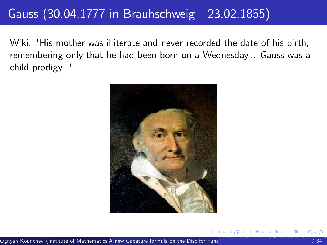### Gauss (30.04.1777 in Brauhschweig - 23.02.1855)

Wiki: "His mother was illiterate and never recorded the date of his birth, remembering only that he had been born on a Wednesday... Gauss was a child prodigy. "

<span id="page-19-0"></span>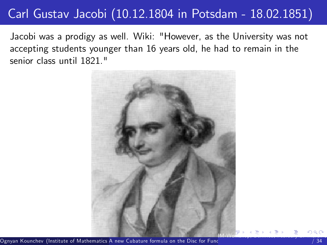### Carl Gustav Jacobi (10.12.1804 in Potsdam - 18.02.1851)

Jacobi was a prodigy as well. Wiki: "However, as the University was not accepting students younger than 16 years old, he had to remain in the senior class until 1821."

<span id="page-20-0"></span>

.<br>Ognyan Kounchev (Institute of Mathematics A new Cubature formula on the Disc for Func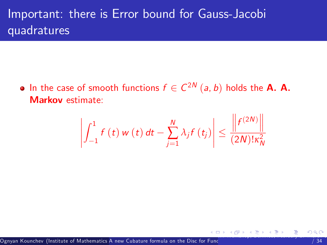### Important: there is Error bound for Gauss-Jacobi quadratures

In the case of smooth functions  $f \in C^{2N}$   $(a, b)$  holds the **A. A.** Markov estimate:

<span id="page-21-0"></span>
$$
\left|\int_{-1}^{1} f(t) w(t) dt - \sum_{j=1}^{N} \lambda_j f(t_j) \right| \leq \frac{\left\| f^{(2N)} \right\|}{(2N)! \kappa_N^2}
$$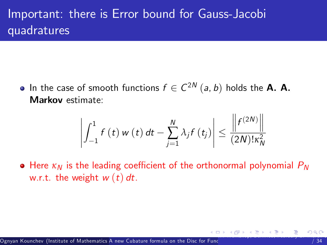### Important: there is Error bound for Gauss-Jacobi quadratures

In the case of smooth functions  $f \in C^{2N}$   $(a, b)$  holds the **A. A.** Markov estimate:

<span id="page-22-0"></span>
$$
\left|\int_{-1}^{1} f(t) w(t) dt - \sum_{j=1}^{N} \lambda_j f(t_j) \right| \leq \frac{\left\| f^{(2N)} \right\|}{(2N)! \kappa_N^2}
$$

• Here  $\kappa_N$  is the leading coefficient of the orthonormal polynomial  $P_N$ w.r.t. the weight  $w(t)$  dt.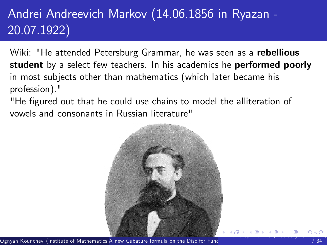# Andrei Andreevich Markov (14.06.1856 in Ryazan - 20.07.1922)

Wiki: "He attended Petersburg Grammar, he was seen as a rebellious student by a select few teachers. In his academics he performed poorly in most subjects other than mathematics (which later became his profession)."

"He figured out that he could use chains to model the alliteration of vowels and consonants in Russian literature"

<span id="page-23-0"></span>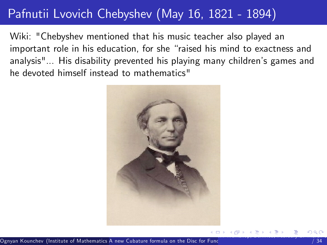### Pafnutii Lvovich Chebyshev (May 16, 1821 - 1894)

Wiki: "Chebyshev mentioned that his music teacher also played an important role in his education, for she "raised his mind to exactness and analysis"... His disability prevented his playing many children's games and he devoted himself instead to mathematics"

<span id="page-24-0"></span>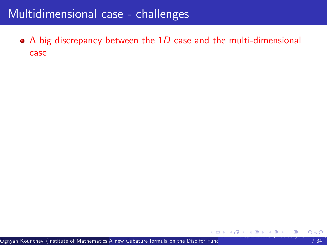<span id="page-25-0"></span> $\bullet$  A big discrepancy between the 1D case and the multi-dimensional case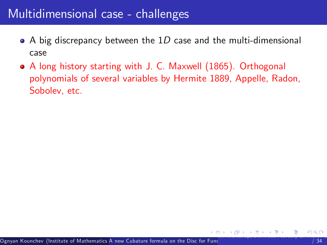- $\bullet$  A big discrepancy between the 1D case and the multi-dimensional case
- <span id="page-26-0"></span>A long history starting with J. C. Maxwell (1865). Orthogonal polynomials of several variables by Hermite 1889, Appelle, Radon, Sobolev, etc.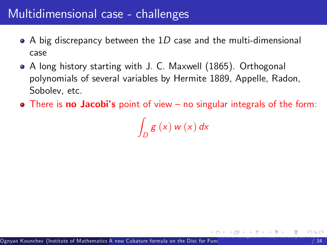- $\bullet$  A big discrepancy between the 1D case and the multi-dimensional case
- A long history starting with J. C. Maxwell (1865). Orthogonal polynomials of several variables by Hermite 1889, Appelle, Radon, Sobolev, etc.
- $\bullet$  There is no Jacobi's point of view  $-$  no singular integrals of the form:

<span id="page-27-0"></span>Z  $\int_D g(x) w(x) dx$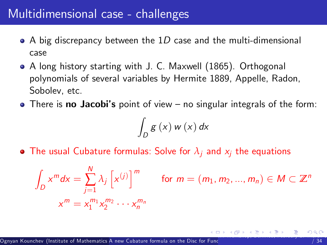- $\bullet$  A big discrepancy between the 1D case and the multi-dimensional case
- A long history starting with J. C. Maxwell (1865). Orthogonal polynomials of several variables by Hermite 1889, Appelle, Radon, Sobolev, etc.
- $\bullet$  There is no Jacobi's point of view no singular integrals of the form:

<span id="page-28-0"></span>
$$
\int_D g\left(x\right) w\left(x\right) dx
$$

• The usual Cubature formulas: Solve for  $\lambda_i$  and  $x_i$  the equations

$$
\int_{D} x^{m} dx = \sum_{j=1}^{N} \lambda_{j} \left[ x^{(j)} \right]^{m} \quad \text{for } m = (m_{1}, m_{2}, ..., m_{n}) \in M \subset \mathbb{Z}^{n}
$$
\n
$$
x^{m} = x_{1}^{m_{1}} x_{2}^{m_{2}} \cdots x_{n}^{m_{n}}
$$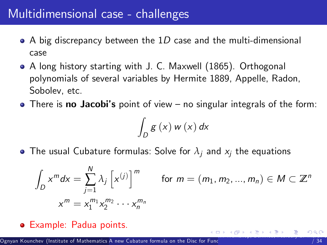- $\bullet$  A big discrepancy between the 1D case and the multi-dimensional case
- A long history starting with J. C. Maxwell (1865). Orthogonal polynomials of several variables by Hermite 1889, Appelle, Radon, Sobolev, etc.
- $\bullet$  There is no Jacobi's point of view no singular integrals of the form:

<span id="page-29-0"></span>
$$
\int_D g\left(x\right) w\left(x\right) dx
$$

• The usual Cubature formulas: Solve for  $\lambda_i$  and  $x_i$  the equations

$$
\int_{D} x^{m} dx = \sum_{j=1}^{N} \lambda_{j} \left[ x^{(j)} \right]^{m}
$$
 for  $m = (m_{1}, m_{2}, ..., m_{n}) \in M \subset \mathbb{Z}^{n}$   

$$
x^{m} = x_{1}^{m_{1}} x_{2}^{m_{2}} \cdots x_{n}^{m_{n}}
$$

Example: Padua points.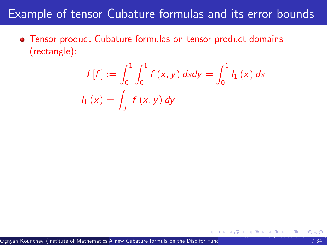### Example of tensor Cubature formulas and its error bounds

Tensor product Cubature formulas on tensor product domains (rectangle):

<span id="page-30-0"></span>
$$
I[f] := \int_0^1 \int_0^1 f(x, y) \, dx dy = \int_0^1 I_1(x) \, dx
$$
  

$$
I_1(x) = \int_0^1 f(x, y) \, dy
$$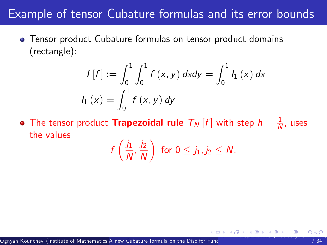### Example of tensor Cubature formulas and its error bounds

Tensor product Cubature formulas on tensor product domains (rectangle):

$$
I[f] := \int_0^1 \int_0^1 f(x, y) \, dx dy = \int_0^1 I_1(x) \, dx
$$
  

$$
I_1(x) = \int_0^1 f(x, y) \, dy
$$

The tensor product **Trapezoidal rule**  $T_N\left[f\right]$  with step  $h=\frac{1}{N}$ , uses the values

<span id="page-31-0"></span>
$$
f\left(\frac{j_1}{N},\frac{j_2}{N}\right) \text{ for } 0 \leq j_1, j_2 \leq N.
$$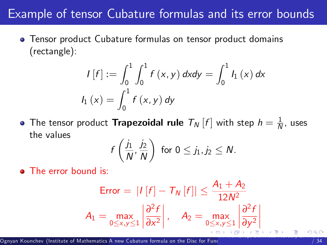### Example of tensor Cubature formulas and its error bounds

Tensor product Cubature formulas on tensor product domains (rectangle):

$$
I[f] := \int_0^1 \int_0^1 f(x, y) \, dx dy = \int_0^1 I_1(x) \, dx
$$
  

$$
I_1(x) = \int_0^1 f(x, y) \, dy
$$

The tensor product  $\textsf{Trapezoidal rule}\;\; \mathcal{T}_N\left[f\right]$  with step  $\mathit{h}=\frac{1}{N}$ , uses the values

$$
f\left(\frac{j_1}{N},\frac{j_2}{N}\right)
$$
 for  $0 \le j_1, j_2 \le N$ .

• The error bound is:

$$
\text{Error} = |I[f] - T_N[f]| \le \frac{A_1 + A_2}{12N^2}
$$
\n
$$
A_1 = \max_{0 \le x, y \le 1} \left| \frac{\partial^2 f}{\partial x^2} \right|, \quad A_2 = \max_{0 \le x, y \le 1} \left| \frac{\partial^2 f}{\partial y^2} \right|
$$

<span id="page-32-0"></span>Ī I I I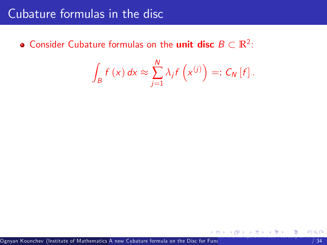### Cubature formulas in the disc

Consider Cubature formulas on the **unit disc**  $B \subset \mathbb{R}^2$ :

<span id="page-33-0"></span>
$$
\int_{B} f(x) dx \approx \sum_{j=1}^{N} \lambda_{j} f\left(x^{(j)}\right) =: C_{N} [f].
$$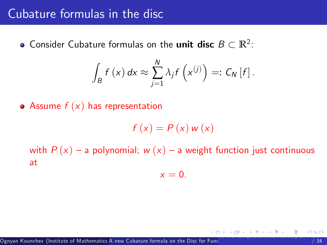#### Cubature formulas in the disc

Consider Cubature formulas on the **unit disc**  $B \subset \mathbb{R}^2$ :

$$
\int_{B} f(x) dx \approx \sum_{j=1}^{N} \lambda_{j} f\left(x^{(j)}\right) =: C_{N} [f].
$$

• Assume  $f(x)$  has representation

$$
f(x) = P(x) w(x)
$$

with  $P(x)$  – a polynomial;  $w(x)$  – a weight function just continuous at

$$
x=0.
$$

<span id="page-34-0"></span>I[M-](#page-35-0)[W](#page-32-0)[or](#page-33-0)[ks](#page-35-0)[ho](#page-36-0)[p,](#page-0-0) [B](#page-1-0)[ernr](#page-73-0)[ie](#page-0-0)[d,](#page-1-0) [Feb](#page-73-0)[ruar](#page-0-0)[y 27-](#page-73-0)March 3, 2017 15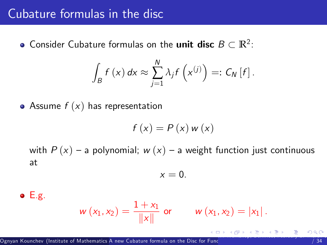#### Cubature formulas in the disc

Consider Cubature formulas on the **unit disc**  $B \subset \mathbb{R}^2$ :

$$
\int_{B} f(x) dx \approx \sum_{j=1}^{N} \lambda_{j} f\left(x^{(j)}\right) =: C_{N} [f].
$$

• Assume  $f(x)$  has representation

$$
f(x) = P(x) w(x)
$$

with  $P(x)$  – a polynomial;  $w(x)$  – a weight function just continuous at

$$
x=0.
$$

 $\bullet$  E.g.

$$
w(x_1, x_2) = \frac{1 + x_1}{\|x\|}
$$
 or  $w(x_1, x_2) = |x_1|$ .

<span id="page-35-0"></span>I[M-](#page-36-0)[W](#page-32-0)[or](#page-33-0)[ks](#page-35-0)[ho](#page-36-0)[p,](#page-0-0) [B](#page-1-0)[ernr](#page-73-0)[ie](#page-0-0)[d,](#page-1-0) [Feb](#page-73-0)[ruar](#page-0-0)[y 27-](#page-73-0)March 3, 2017 15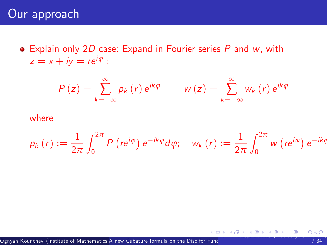$\bullet$  Explain only 2D case: Expand in Fourier series P and w, with  $z = x + iy = re^{i\varphi}$ :

<span id="page-36-0"></span>
$$
P(z) = \sum_{k=-\infty}^{\infty} p_k(r) e^{ik\varphi} \qquad w(z) = \sum_{k=-\infty}^{\infty} w_k(r) e^{ik\varphi}
$$

#### where

$$
p_k(r) := \frac{1}{2\pi} \int_0^{2\pi} P\left(re^{i\varphi}\right) e^{-ik\varphi} d\varphi; \quad w_k(r) := \frac{1}{2\pi} \int_0^{2\pi} w\left(re^{i\varphi}\right) e^{-ik\varphi}
$$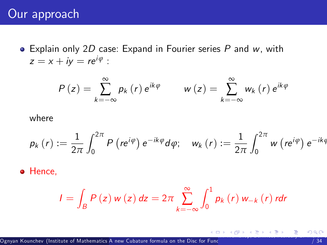#### Our approach

 $\bullet$  Explain only 2D case: Expand in Fourier series P and w, with  $z = x + iy = re^{i\varphi}$ :

$$
P(z) = \sum_{k=-\infty}^{\infty} p_k(r) e^{ik\varphi} \qquad w(z) = \sum_{k=-\infty}^{\infty} w_k(r) e^{ik\varphi}
$$

where

$$
p_k(r):=\frac{1}{2\pi}\int_{0}^{2\pi}P\left(re^{i\varphi}\right)e^{-ik\varphi}d\varphi;\quad w_k\left(r\right):=\frac{1}{2\pi}\int_{0}^{2\pi}w\left(re^{i\varphi}\right)e^{-ik\varphi}
$$

**•** Hence,

<span id="page-37-0"></span>
$$
I = \int_{B} P(z) w(z) dz = 2\pi \sum_{k=-\infty}^{\infty} \int_{0}^{1} p_{k}(r) w_{-k}(r) r dr
$$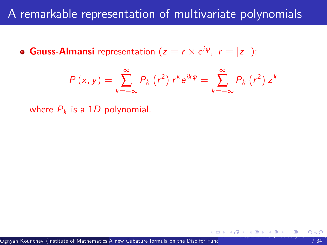**Gauss-Almansi** representation  $(z = r \times e^{i\varphi}, r = |z|)$ :

<span id="page-38-0"></span>
$$
P(x, y) = \sum_{k=-\infty}^{\infty} P_k(r^2) r^k e^{ik\varphi} = \sum_{k=-\infty}^{\infty} P_k(r^2) z^k
$$

where  $P_k$  is a 1D polynomial.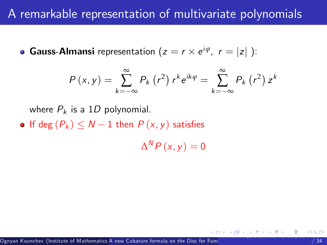**Gauss-Almansi** representation  $(z = r \times e^{i\varphi}, r = |z|)$ :

$$
P(x, y) = \sum_{k=-\infty}^{\infty} P_k(r^2) r^k e^{ik\varphi} = \sum_{k=-\infty}^{\infty} P_k(r^2) z^k
$$

where  $P_k$  is a 1D polynomial.

• If deg  $(P_k) \leq N - 1$  then  $P(x, y)$  satisfies

<span id="page-39-0"></span> $\Delta^{\sf N}P\left(x,y\right)=0$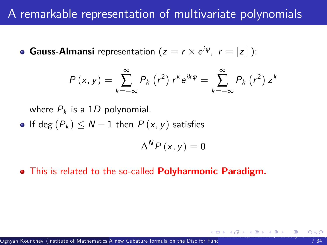**Gauss-Almansi** representation  $(z = r \times e^{i\varphi}, r = |z|)$ :

$$
P(x, y) = \sum_{k=-\infty}^{\infty} P_k(r^2) r^k e^{ik\varphi} = \sum_{k=-\infty}^{\infty} P_k(r^2) z^k
$$

where  $P_k$  is a 1D polynomial.

If deg  $(P_k) \leq N - 1$  then  $P(x, y)$  satisfies

<span id="page-40-0"></span>
$$
\Delta^{\mathsf{N}} P\left(x,y\right)=0
$$

**•** This is related to the so-called **Polyharmonic Paradigm.**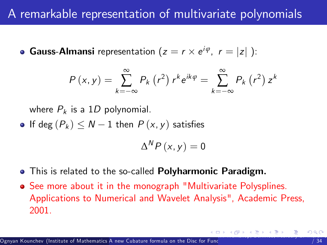**Gauss-Almansi** representation  $(z = r \times e^{i\varphi}, r = |z|)$ :

$$
P(x, y) = \sum_{k=-\infty}^{\infty} P_k(r^2) r^k e^{ik\varphi} = \sum_{k=-\infty}^{\infty} P_k(r^2) z^k
$$

where  $P_k$  is a 1D polynomial.

If deg  $(P_k) \leq N - 1$  then  $P(x, y)$  satisfies

<span id="page-41-0"></span>
$$
\Delta^{\sf{N}} P\left(x,y\right)=0
$$

- **•** This is related to the so-called **Polyharmonic Paradigm.**
- See more about it in the monograph "Multivariate Polysplines. Applications to Numerical and Wavelet Analysis", Academic Press, 2001.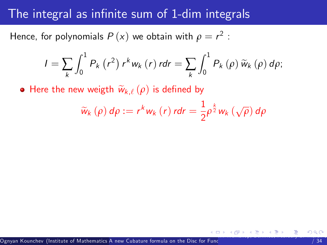#### The integral as infinite sum of 1-dim integrals

Hence, for polynomials  $P\left( \mathsf{x}\right)$  we obtain with  $\rho =r^{2}$  :

$$
I = \sum_{k} \int_{0}^{1} P_{k} (r^{2}) r^{k} w_{k} (r) r dr = \sum_{k} \int_{0}^{1} P_{k} (\rho) \widetilde{w}_{k} (\rho) d\rho;
$$

• Here the new weigth  $\widetilde{w}_{k,\ell} (\rho)$  is defined by

<span id="page-42-0"></span>
$$
\widetilde{w}_{k}\left(\rho\right)d\rho:=r^{k}w_{k}\left(r\right)rdr=\frac{1}{2}\rho^{\frac{k}{2}}w_{k}\left(\sqrt{\rho}\right)d\rho
$$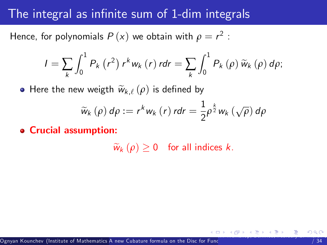#### The integral as infinite sum of 1-dim integrals

Hence, for polynomials  $P\left( \mathsf{x}\right)$  we obtain with  $\rho =r^{2}$  :

$$
I = \sum_{k} \int_{0}^{1} P_{k} (r^{2}) r^{k} w_{k} (r) r dr = \sum_{k} \int_{0}^{1} P_{k} (\rho) \widetilde{w}_{k} (\rho) d\rho;
$$

• Here the new weigth  $\widetilde{w}_{k,\ell} (\rho)$  is defined by

$$
\widetilde{w}_{k}\left(\rho\right)d\rho:=r^{k}w_{k}\left(r\right)rdr=\frac{1}{2}\rho^{\frac{k}{2}}w_{k}\left(\sqrt{\rho}\right)d\rho
$$

Crucial assumption:

<span id="page-43-0"></span> $\widetilde{w}_k (\rho) \geq 0$  for all indices k.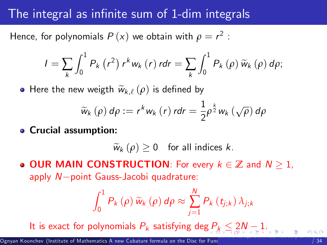### The integral as infinite sum of 1-dim integrals

Hence, for polynomials  $P\left( \mathsf{x}\right)$  we obtain with  $\rho =r^{2}$  :

$$
I = \sum_{k} \int_{0}^{1} P_{k} (r^{2}) r^{k} w_{k} (r) r dr = \sum_{k} \int_{0}^{1} P_{k} (\rho) \widetilde{w}_{k} (\rho) d\rho;
$$

• Here the new weigth  $\widetilde{w}_{k,\ell} (\rho)$  is defined by

$$
\widetilde{w}_{k}\left(\rho\right)d\rho:=r^{k}w_{k}\left(r\right)rdr=\frac{1}{2}\rho^{\frac{k}{2}}w_{k}\left(\sqrt{\rho}\right)d\rho
$$

Crucial assumption:

<span id="page-44-0"></span> $\widetilde{w}_k (\rho) > 0$  for all indices k.

**OUR MAIN CONSTRUCTION:** For every  $k \in \mathbb{Z}$  and  $N \geq 1$ , apply  $N$ -point Gauss-Jacobi quadrature:

$$
\int_0^1 P_k(\rho) \widetilde{w}_k(\rho) d\rho \approx \sum_{j=1}^N P_k(t_{j;k}) \lambda_{j;k}
$$

It is exact f[or](#page-42-0) polynomials  $P_k$  $P_k$  satisfying deg  $P_k \leq 2N-1$  $P_k \leq 2N-1$  $P_k \leq 2N-1$  $P_k \leq 2N-1$ .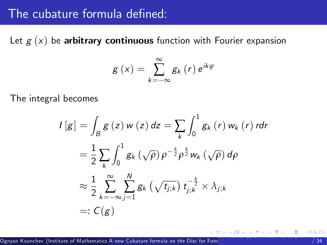#### The cubature formula defined:

Let  $g(x)$  be arbitrary continuous function with Fourier expansion

<span id="page-45-0"></span>
$$
g\left(x\right)=\sum_{k=-\infty}^{\infty}g_{k}\left(r\right)e^{ik\varphi}
$$

The integral becomes

$$
I[g] = \int_{B} g(z) w(z) dz = \sum_{k} \int_{0}^{1} g_{k}(r) w_{k}(r) r dr
$$
  

$$
= \frac{1}{2} \sum_{k} \int_{0}^{1} g_{k}(\sqrt{\rho}) \rho^{-\frac{k}{2}} \rho^{\frac{k}{2}} w_{k}(\sqrt{\rho}) d\rho
$$
  

$$
\approx \frac{1}{2} \sum_{k=-\infty}^{\infty} \sum_{j=1}^{N} g_{k}(\sqrt{t_{j,k}}) t_{j,k}^{-\frac{k}{2}} \times \lambda_{j,k}
$$
  

$$
=: C(g)
$$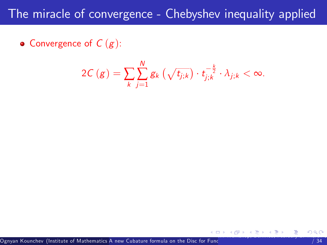• Convergence of  $C(g)$ :

<span id="page-46-0"></span>
$$
2C\left(g\right)=\sum_{k}\sum_{j=1}^{N}g_{k}\left(\sqrt{t_{j;k}}\right)\cdot t_{j;k}^{-\frac{k}{2}}\cdot\lambda_{j;k}<\infty.
$$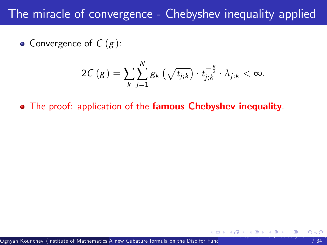• Convergence of  $C(g)$ :

<span id="page-47-0"></span>
$$
2C\left(g\right)=\sum_{k}\sum_{j=1}^{N}g_{k}\left(\sqrt{t_{j;k}}\right)\cdot t_{j;k}^{-\frac{k}{2}}\cdot\lambda_{j;k}<\infty.
$$

• The proof: application of the famous Chebyshev inequality.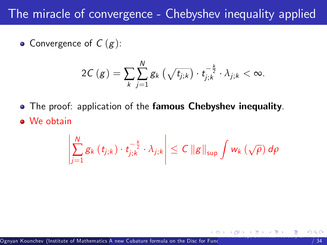• Convergence of  $C(g)$ :

$$
2C\left(g\right) = \sum_{k} \sum_{j=1}^{N} g_k \left(\sqrt{t_{j;k}}\right) \cdot t_{j;k}^{-\frac{k}{2}} \cdot \lambda_{j;k} < \infty.
$$

• The proof: application of the famous Chebyshev inequality. • We obtain

<span id="page-48-0"></span>
$$
\left|\sum_{j=1}^N g_{k}\left(t_{j;k}\right)\cdot t_{j;k}^{-\frac{k}{2}}\cdot \lambda_{j;k}\right|\leq C \left\|g\right\|_{\sup} \int w_{k}\left(\sqrt{\rho}\right) d\rho
$$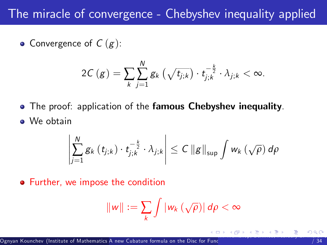• Convergence of  $C(g)$ :

$$
2C\left(g\right)=\sum_{k}\sum_{j=1}^{N}g_{k}\left(\sqrt{t_{j;k}}\right)\cdot t_{j;k}^{-\frac{k}{2}}\cdot\lambda_{j;k}<\infty.
$$

**•** The proof: application of the **famous Chebyshev inequality**. • We obtain

$$
\left|\sum_{j=1}^N g_{k}\left(t_{j;k}\right)\cdot t_{j;k}^{-\frac{k}{2}}\cdot \lambda_{j;k}\right|\leq C\left\|g\right\|_{\sup}\int w_{k}\left(\sqrt{\rho}\right)d\rho
$$

Further, we impose the condition

<span id="page-49-0"></span>
$$
||w||:=\sum_k \int |w_k\left(\sqrt{\rho}\right)|\,d\rho<\infty
$$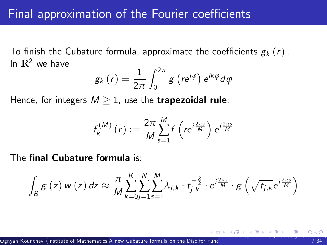To finish the Cubature formula, approximate the coefficients  $g_k(r)$ . In  $\mathbb{R}^2$  we have

$$
g_{k}\left(r\right)=\frac{1}{2\pi}\int_{0}^{2\pi}g\left(re^{i\varphi}\right)e^{ik\varphi}d\varphi
$$

Hence, for integers  $M \geq 1$ , use the **trapezoidal rule**:

<span id="page-50-0"></span>
$$
f_k^{(M)}(r) := \frac{2\pi}{M} \sum_{s=1}^{M} f\left(re^{i\frac{2\pi s}{M}}\right) e^{i\frac{2\pi s}{M}}
$$

The final Cubature formula is:

$$
\int_{B} g(z) w(z) dz \approx \frac{\pi}{M} \sum_{k=0}^{K} \sum_{j=1}^{N} \sum_{s=1}^{M} \lambda_{j,k} \cdot t_{j,k}^{-\frac{k}{2}} \cdot e^{i\frac{2\pi s}{M}} \cdot g\left(\sqrt{t_{j,k}} e^{i\frac{2\pi s}{M}}\right)
$$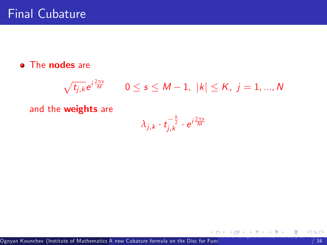#### **•** The nodes are

$$
\sqrt{t_{j,k}}e^{i\frac{2\pi s}{M}} \qquad 0 \leq s \leq M-1, \ |k| \leq K, \ j=1,...,N
$$

and the weights are

<span id="page-51-0"></span>
$$
\lambda_{j,k} \cdot t_{j,k}^{-\frac{k}{2}} \cdot e^{i\frac{2\pi s}{M}}
$$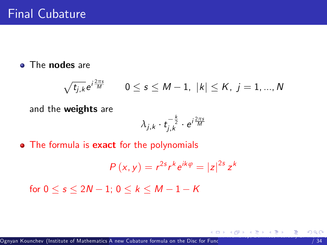#### • The nodes are

$$
\sqrt{t_{j,k}}e^{i\frac{2\pi s}{M}} \qquad 0 \le s \le M-1, \ |k| \le K, \ j=1,...,N
$$

and the weights are

<span id="page-52-0"></span>
$$
\lambda_{j,k} \cdot t_{j,k}^{-\frac{k}{2}} \cdot e^{i\frac{2\pi s}{M}}
$$

• The formula is **exact** for the polynomials

$$
P(x, y) = r^{2s}r^k e^{ik\varphi} = |z|^{2s} z^k
$$

for  $0 \le s \le 2N - 1$ ;  $0 \le k \le M - 1 - K$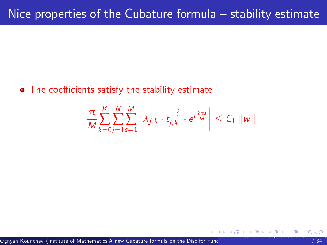• The coefficients satisfy the stability estimate

<span id="page-53-0"></span>
$$
\frac{\pi}{M}\sum_{k=0}^K\sum_{j=1}^N\sum_{s=1}^M\left|\lambda_{j,k}\cdot t_{j,k}^{-\frac{k}{2}}\cdot e^{i\frac{2\pi s}{M}}\right|\leq C_1\left\|w\right\|.
$$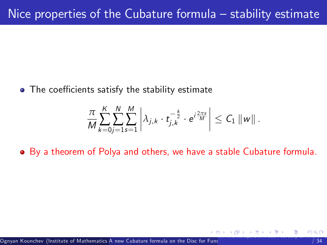$\bullet$  The coefficients satisfy the stability estimate

<span id="page-54-0"></span>
$$
\frac{\pi}{M}\sum_{k=0}^K\sum_{j=1}^N\sum_{s=1}^M\left|\lambda_{j,k}\cdot t_{j,k}^{-\frac{k}{2}}\cdot e^{i\frac{2\pi s}{M}}\right|\leq C_1\left\|w\right\|.
$$

By a theorem of Polya and others, we have a stable Cubature formula.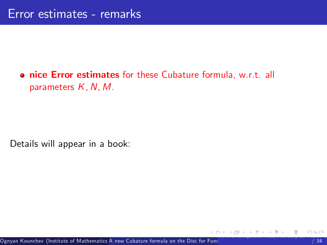#### **• nice Error estimates** for these Cubature formula, w.r.t. all parameters  $K$ , N, M.

<span id="page-55-0"></span>Details will appear in a book: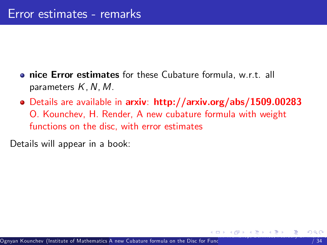- **nice Error estimates** for these Cubature formula, w.r.t. all parameters  $K, N, M$ .
- Details are available in arxiv: http://arxiv.org/abs/1509.00283 O. Kounchev, H. Render, A new cubature formula with weight functions on the disc, with error estimates

<span id="page-56-0"></span>Details will appear in a book: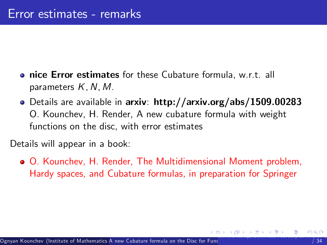- **nice Error estimates** for these Cubature formula, w.r.t. all parameters  $K, N, M$ .
- Details are available in arxiv: http://arxiv.org/abs/1509.00283 O. Kounchev, H. Render, A new cubature formula with weight functions on the disc, with error estimates

Details will appear in a book:

<span id="page-57-0"></span>O. Kounchev, H. Render, The Multidimensional Moment problem, Hardy spaces, and Cubature formulas, in preparation for Springer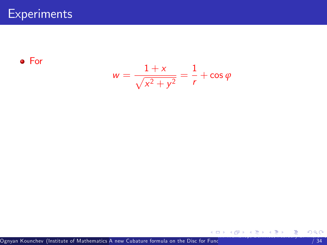For

$$
w=\frac{1+x}{\sqrt{x^2+y^2}}=\frac{1}{r}+\cos\varphi
$$

<span id="page-58-0"></span>I[M-](#page-59-0)[W](#page-57-0)[or](#page-58-0)[ks](#page-59-0)[ho](#page-60-0)[p,](#page-0-0) [B](#page-1-0)[ernr](#page-73-0)[ie](#page-0-0)[d,](#page-1-0) [Feb](#page-73-0)[ruar](#page-0-0)[y 27-](#page-73-0)March 3, 2017 25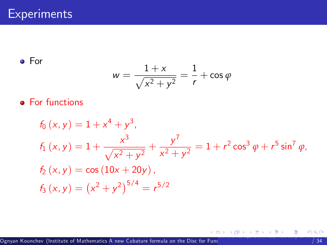For

<span id="page-59-0"></span>
$$
w=\frac{1+x}{\sqrt{x^2+y^2}}=\frac{1}{r}+\cos\varphi
$$

#### **•** For functions

$$
f_0(x, y) = 1 + x^4 + y^3,
$$
  
\n
$$
f_1(x, y) = 1 + \frac{x^3}{\sqrt{x^2 + y^2}} + \frac{y^7}{x^2 + y^2} = 1 + r^2 \cos^3 \varphi + r^5 \sin^7 \varphi,
$$
  
\n
$$
f_2(x, y) = \cos (10x + 20y),
$$
  
\n
$$
f_3(x, y) = (x^2 + y^2)^{5/4} = r^{5/2}
$$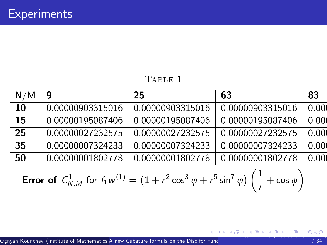#### <span id="page-60-0"></span>TABLE 1

| N/M | 9                | 25               | 63               | 83    |
|-----|------------------|------------------|------------------|-------|
| 10  | 0.00000903315016 | 0.00000903315016 | 0.00000903315016 | 0.000 |
| 15  | 0.00000195087406 | 0.00000195087406 | 0.00000195087406 | 0.000 |
| 25  | 0.00000027232575 | 0.00000027232575 | 0.00000027232575 | 0.000 |
| 35  | 0.00000007324233 | 0.00000007324233 | 0.00000007324233 | 0.000 |
| 50  | 0.00000001802778 | 0.00000001802778 | 0.00000001802778 | 0.000 |

**Error of** 
$$
C_{N,M}^1
$$
 for  $f_1w^{(1)} = (1 + r^2 \cos^3 \varphi + r^5 \sin^7 \varphi) \left(\frac{1}{r} + \cos \varphi\right)$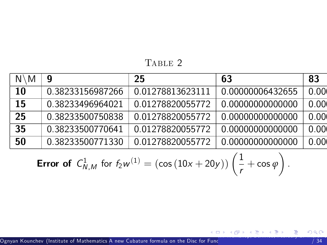TABLE 2

| $N \setminus M$ | g                | 25               | 63               | 83    |
|-----------------|------------------|------------------|------------------|-------|
| 10              | 0.38233156987266 | 0.01278813623111 | 0.00000006432655 | 0.00( |
| 15              | 0.38233496964021 | 0.01278820055772 | 0.00000000000000 | 0.00( |
| 25              | 0.38233500750838 | 0.01278820055772 | 0.00000000000000 | 0.00( |
| 35              | 0.38233500770641 | 0.01278820055772 | 0.00000000000000 | 0.00( |
| 50              | 0.38233500771330 | 0.01278820055772 | 0.00000000000000 | 0.00( |

**Error of** 
$$
C_{N,M}^1
$$
 for  $f_2w^{(1)} = (\cos(10x + 20y))\left(\frac{1}{r} + \cos\varphi\right)$ 

<span id="page-61-0"></span>.

I[M-](#page-62-0)[W](#page-60-0)[orks](#page-61-0)[ho](#page-62-0)[p,](#page-0-0) [B](#page-1-0)[ernr](#page-73-0)[ie](#page-0-0)[d,](#page-1-0) [Feb](#page-73-0)[ruar](#page-0-0)[y 27-](#page-73-0)March 3, 2017 27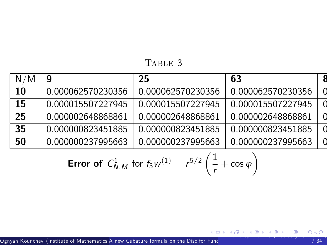TABLE 3

| N/M | 9                 | 25                | 63                | Я |
|-----|-------------------|-------------------|-------------------|---|
| 10  | 0.000062570230356 | 0.000062570230356 | 0.000062570230356 |   |
| 15  | 0.000015507227945 | 0.000015507227945 | 0.000015507227945 |   |
| 25  | 0.000002648868861 | 0.000002648868861 | 0.000002648868861 |   |
| 35  | 0.000000823451885 | 0.000000823451885 | 0.000000823451885 |   |
| 50  | 0.000000237995663 | 0.000000237995663 | 0.000000237995663 |   |

**Error of** 
$$
C_{N,M}^1
$$
 for  $f_3w^{(1)} = r^{5/2} \left(\frac{1}{r} + \cos \varphi\right)$ 

<span id="page-62-0"></span>I[M-](#page-63-0)[W](#page-61-0)[orks](#page-62-0)[ho](#page-63-0)[p,](#page-0-0) [B](#page-1-0)[ernr](#page-73-0)[ie](#page-0-0)[d,](#page-1-0) [Feb](#page-73-0)[ruar](#page-0-0)[y 27-](#page-73-0)March 3, 2017 28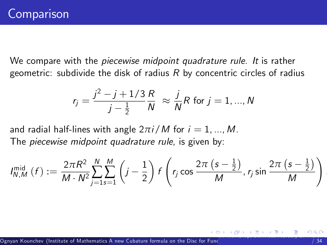We compare with the *piecewise midpoint quadrature rule.* It is rather geometric: subdivide the disk of radius  $R$  by concentric circles of radius

$$
r_j = \frac{j^2 - j + 1/3}{j - \frac{1}{2}} \frac{R}{N} \approx \frac{j}{N} R \text{ for } j = 1, ..., N
$$

and radial half-lines with angle  $2\pi i/M$  for  $i = 1, ..., M$ . The *piecewise midpoint quadrature rule*, is given by:

$$
I_{N,M}^{\text{mid}}\left(f\right) := \frac{2\pi R^2}{M \cdot N^2} \sum_{j=1}^{N} \sum_{s=1}^{M} \left(j-\frac{1}{2}\right) f\left(r_j \cos \frac{2\pi \left(s-\frac{1}{2}\right)}{M}, r_j \sin \frac{2\pi \left(s-\frac{1}{2}\right)}{M}\right)
$$

<span id="page-63-0"></span>.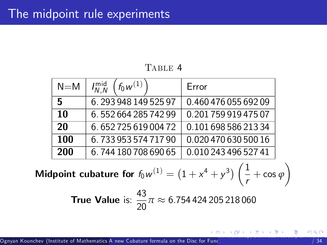TABLE 4

| $N = M$ | $f_0 w^{(1)}$<br>$I_{N,N}^{\text{mid}}$ | Error                |
|---------|-----------------------------------------|----------------------|
| 5       | 6.29394814952597                        | 0.460 476 055 692 09 |
| 10      | 6.55266428574299                        | 0.20175991947507     |
| 20      | 6.65272561900472                        | 0.101 698 586 213 34 |
| 100     | 6.73395357471790                        | 0.020 470 630 500 16 |
| 200     | 6.744 180 708 690 65                    | 0.010 243 496 527 41 |

Midpoint cubature for  $f_0w^{(1)} = \left(1 + x^4 + y^3\right)\left(\frac{1}{x}\right)$  $\frac{1}{r}$  + cos  $\varphi$  $\setminus$ 

**True Value** is:  $\frac{43}{20}\pi \approx 6.7544424205218060$ 

<span id="page-64-0"></span>I[M-](#page-65-0)[W](#page-63-0)ORKSHOP, [B](#page-1-0)[ernr](#page-73-0)[ie](#page-0-0)[d,](#page-1-0) [Feb](#page-73-0)[ruar](#page-0-0)[y 27-](#page-73-0)March 3, 2017 300  $\pm$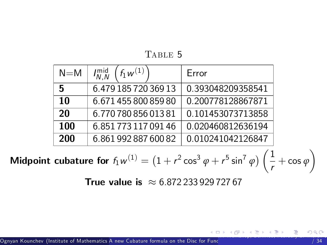TABLE 5

| $N = M$ | $f_1 w^{(1)}$<br>$I_{N}^{mid}$ | Frror             |
|---------|--------------------------------|-------------------|
| 5       | 6.479 185 720 369 13           | 0.393048209358541 |
| 10      | 6.671 455 800 859 80           | 0.200778128867871 |
| 20      | 6.770 780 856 013 81           | 0.101453073713858 |
| 100     | 6.851 773 117 091 46           | 0.020460812636194 |
| 200     | 6.861 992 887 600 82           | 0.010241042126847 |

**Midpoint cubature for** 
$$
f_1w^{(1)} = (1 + r^2 \cos^3 \varphi + r^5 \sin^7 \varphi) \left(\frac{1}{r} + \cos \varphi\right)
$$

**True value is**  $\approx 6.87223392972767$ 

<span id="page-65-0"></span>I[M-](#page-66-0)[W](#page-64-0)[orks](#page-65-0)[ho](#page-66-0)[p,](#page-0-0) [B](#page-1-0)[ernr](#page-73-0)[ie](#page-0-0)[d,](#page-1-0) [Feb](#page-73-0)[ruar](#page-0-0)[y 27-](#page-73-0)March 3, 2017 31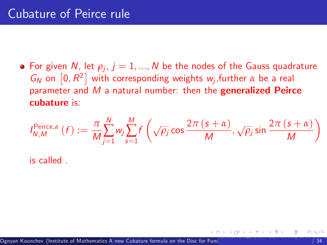For given  $N$ , let  $\rho_j$ ,  $j=1,...,N$  be the nodes of the Gauss quadrature  $G_N$  on  $[0, R^2]$  with corresponding weights w<sub>j</sub>, further  $\alpha$  be a real parameter and  $M$  a natural number: then the generalized Peirce cubature is:

$$
I_{N,M}^{\text{Peirce},\alpha}(f) := \frac{\pi}{M} \sum_{j=1}^{N} w_j \sum_{s=1}^{M} f\left(\sqrt{\rho_j} \cos \frac{2\pi (s+\alpha)}{M}, \sqrt{\rho_j} \sin \frac{2\pi (s+\alpha)}{M}\right)
$$

<span id="page-66-0"></span>is called .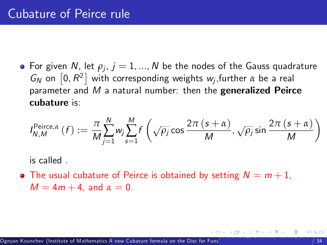For given  $N$ , let  $\rho_j$ ,  $j=1,...,N$  be the nodes of the Gauss quadrature  $G_N$  on  $[0, R^2]$  with corresponding weights w<sub>j</sub>, further  $\alpha$  be a real parameter and  $M$  a natural number: then the generalized Peirce cubature is:

$$
I_{N,M}^{\text{Peirce},\alpha}(f) := \frac{\pi}{M} \sum_{j=1}^{N} w_j \sum_{s=1}^{M} f\left(\sqrt{\rho_j} \cos \frac{2\pi (s+\alpha)}{M}, \sqrt{\rho_j} \sin \frac{2\pi (s+\alpha)}{M}\right)
$$

<span id="page-67-0"></span>is called .

• The usual cubature of Peirce is obtained by setting  $N = m + 1$ ,  $M = 4m + 4$ , and  $\alpha = 0$ .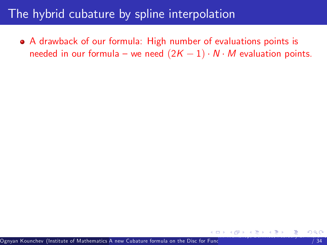#### The hybrid cubature by spline interpolation

<span id="page-68-0"></span>A drawback of our formula: High number of evaluations points is needed in our formula – we need  $(2K - 1) \cdot N \cdot M$  evaluation points.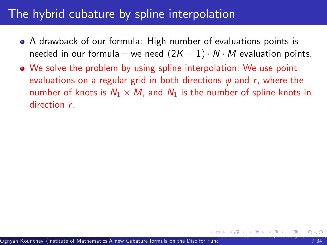### The hybrid cubature by spline interpolation

- A drawback of our formula: High number of evaluations points is needed in our formula – we need  $(2K - 1) \cdot N \cdot M$  evaluation points.
- <span id="page-69-0"></span>We solve the problem by using spline interpolation: We use point evaluations on a regular grid in both directions *ϕ* and r, where the number of knots is  $N_1 \times M$ , and  $N_1$  is the number of spline knots in direction r.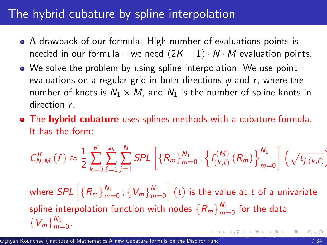### The hybrid cubature by spline interpolation

- A drawback of our formula: High number of evaluations points is needed in our formula – we need  $(2K - 1) \cdot N \cdot M$  evaluation points.
- We solve the problem by using spline interpolation: We use point evaluations on a regular grid in both directions *ϕ* and r, where the number of knots is  $N_1 \times M$ , and  $N_1$  is the number of spline knots in direction r.
- The hybrid cubature uses splines methods with a cubature formula. It has the form:

$$
C_{N,M}^{K}\left(f\right) \approx \frac{1}{2} \sum_{k=0}^{K} \sum_{\ell=1}^{a_k} \sum_{j=1}^{N} SPL\left[\left\{R_m\right\}_{m=0}^{N_1}; \left\{f_{\left(k,\ell\right)}^{(M)}\left(R_m\right)\right\}_{m=0}^{N_1}\right] \left(\sqrt{t_{j,\left(k,\ell\right)}}\right)
$$

<span id="page-70-0"></span>where  $SPL$   $\Big[\{R_m\}_{m=1}^{N_1}\Big]$  $\frac{N_1}{m=0}$  ;  $\{V_m\}_{m=1}^{N_1}$  $m=0$  $\Big] \left( t \right)$  is the value at  $t$  of a univariate spline interpolation function with nodes  $\{R_m\}_{m=1}^{N_1}$  $\frac{m_1}{m=0}$  for the data  $\{V_m\}_{m=1}^{N_1}$  $m=0$ . I[M-](#page-71-0)[W](#page-67-0)[or](#page-68-0)[ks](#page-70-0)[ho](#page-71-0)[p,](#page-0-0) [B](#page-1-0)[ernr](#page-73-0)[ie](#page-0-0)[d,](#page-1-0) [Feb](#page-73-0)[ruar](#page-0-0)[y 27-](#page-73-0)March 3, 2017 33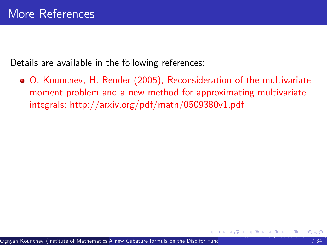Details are available in the following references:

<span id="page-71-0"></span>O. Kounchev, H. Render (2005), Reconsideration of the multivariate moment problem and a new method for approximating multivariate integrals; http://arxiv.org/pdf/math/0509380v1.pdf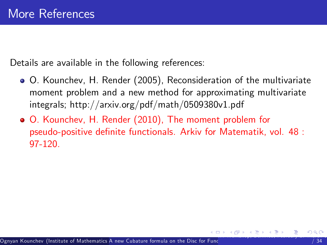Details are available in the following references:

- O. Kounchev, H. Render (2005), Reconsideration of the multivariate moment problem and a new method for approximating multivariate integrals; http://arxiv.org/pdf/math/0509380v1.pdf
- O. Kounchev, H. Render (2010), The moment problem for pseudo-positive definite functionals. Arkiv for Matematik, vol. 48 : 97-120.